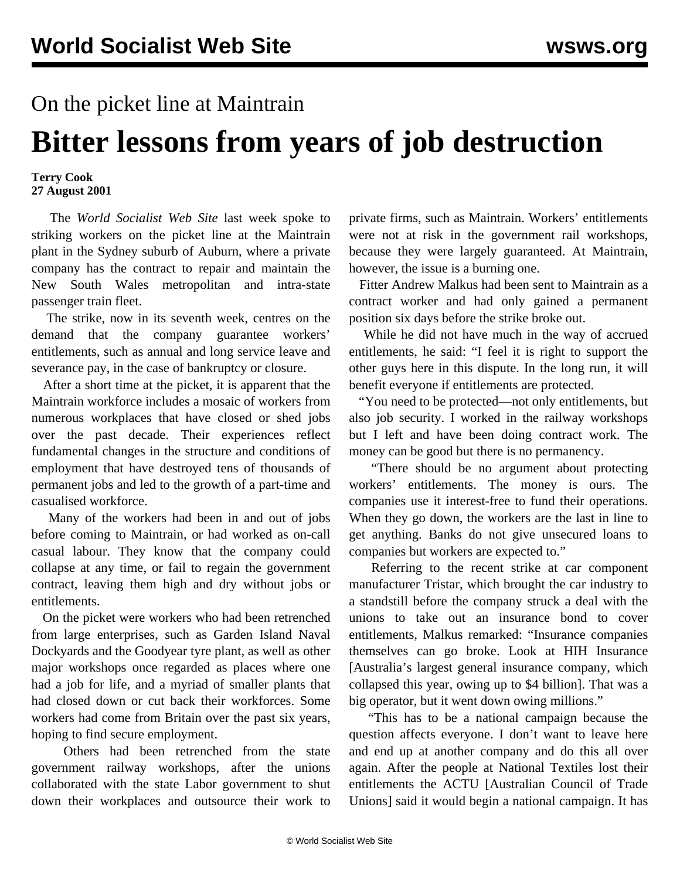## On the picket line at Maintrain

## **Bitter lessons from years of job destruction**

## **Terry Cook 27 August 2001**

 The *World Socialist Web Site* last week spoke to striking workers on the picket line at the Maintrain plant in the Sydney suburb of Auburn, where a private company has the contract to repair and maintain the New South Wales metropolitan and intra-state passenger train fleet.

 The strike, now in its seventh week, centres on the demand that the company guarantee workers' entitlements, such as annual and long service leave and severance pay, in the case of bankruptcy or closure.

 After a short time at the picket, it is apparent that the Maintrain workforce includes a mosaic of workers from numerous workplaces that have closed or shed jobs over the past decade. Their experiences reflect fundamental changes in the structure and conditions of employment that have destroyed tens of thousands of permanent jobs and led to the growth of a part-time and casualised workforce.

 Many of the workers had been in and out of jobs before coming to Maintrain, or had worked as on-call casual labour. They know that the company could collapse at any time, or fail to regain the government contract, leaving them high and dry without jobs or entitlements.

 On the picket were workers who had been retrenched from large enterprises, such as Garden Island Naval Dockyards and the Goodyear tyre plant, as well as other major workshops once regarded as places where one had a job for life, and a myriad of smaller plants that had closed down or cut back their workforces. Some workers had come from Britain over the past six years, hoping to find secure employment.

 Others had been retrenched from the state government railway workshops, after the unions collaborated with the state Labor government to shut down their workplaces and outsource their work to

private firms, such as Maintrain. Workers' entitlements were not at risk in the government rail workshops, because they were largely guaranteed. At Maintrain, however, the issue is a burning one.

 Fitter Andrew Malkus had been sent to Maintrain as a contract worker and had only gained a permanent position six days before the strike broke out.

 While he did not have much in the way of accrued entitlements, he said: "I feel it is right to support the other guys here in this dispute. In the long run, it will benefit everyone if entitlements are protected.

 "You need to be protected—not only entitlements, but also job security. I worked in the railway workshops but I left and have been doing contract work. The money can be good but there is no permanency.

 "There should be no argument about protecting workers' entitlements. The money is ours. The companies use it interest-free to fund their operations. When they go down, the workers are the last in line to get anything. Banks do not give unsecured loans to companies but workers are expected to."

 Referring to the recent strike at car component manufacturer Tristar, which brought the car industry to a standstill before the company struck a deal with the unions to take out an insurance bond to cover entitlements, Malkus remarked: "Insurance companies themselves can go broke. Look at HIH Insurance [Australia's largest general insurance company, which collapsed this year, owing up to \$4 billion]. That was a big operator, but it went down owing millions."

 "This has to be a national campaign because the question affects everyone. I don't want to leave here and end up at another company and do this all over again. After the people at National Textiles lost their entitlements the ACTU [Australian Council of Trade Unions] said it would begin a national campaign. It has